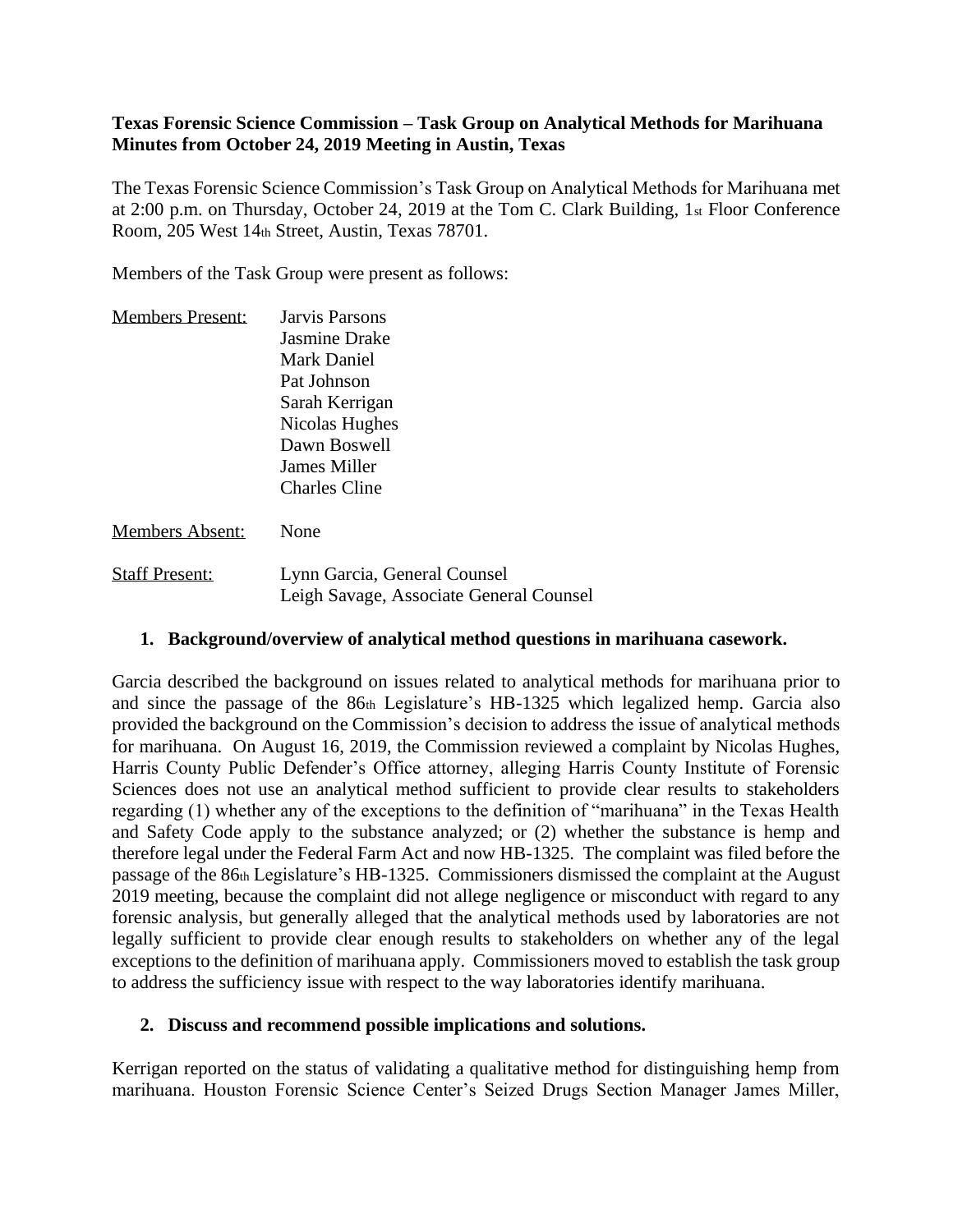## **Texas Forensic Science Commission – Task Group on Analytical Methods for Marihuana Minutes from October 24, 2019 Meeting in Austin, Texas**

The Texas Forensic Science Commission's Task Group on Analytical Methods for Marihuana met at 2:00 p.m. on Thursday, October 24, 2019 at the Tom C. Clark Building, 1st Floor Conference Room, 205 West 14th Street, Austin, Texas 78701.

Members of the Task Group were present as follows:

| <b>Members Present:</b> | Jarvis Parsons       |
|-------------------------|----------------------|
|                         | <b>Jasmine Drake</b> |
|                         | Mark Daniel          |
|                         | Pat Johnson          |
|                         | Sarah Kerrigan       |
|                         | Nicolas Hughes       |
|                         | Dawn Boswell         |
|                         | <b>James Miller</b>  |
|                         | Charles Cline        |
|                         |                      |

Members Absent: None

| <b>Staff Present:</b> | Lynn Garcia, General Counsel            |
|-----------------------|-----------------------------------------|
|                       | Leigh Savage, Associate General Counsel |

### **1. Background/overview of analytical method questions in marihuana casework.**

Garcia described the background on issues related to analytical methods for marihuana prior to and since the passage of the 86th Legislature's HB-1325 which legalized hemp. Garcia also provided the background on the Commission's decision to address the issue of analytical methods for marihuana. On August 16, 2019, the Commission reviewed a complaint by Nicolas Hughes, Harris County Public Defender's Office attorney, alleging Harris County Institute of Forensic Sciences does not use an analytical method sufficient to provide clear results to stakeholders regarding (1) whether any of the exceptions to the definition of "marihuana" in the Texas Health and Safety Code apply to the substance analyzed; or (2) whether the substance is hemp and therefore legal under the Federal Farm Act and now HB-1325. The complaint was filed before the passage of the 86th Legislature's HB-1325. Commissioners dismissed the complaint at the August 2019 meeting, because the complaint did not allege negligence or misconduct with regard to any forensic analysis, but generally alleged that the analytical methods used by laboratories are not legally sufficient to provide clear enough results to stakeholders on whether any of the legal exceptions to the definition of marihuana apply. Commissioners moved to establish the task group to address the sufficiency issue with respect to the way laboratories identify marihuana.

### **2. Discuss and recommend possible implications and solutions.**

Kerrigan reported on the status of validating a qualitative method for distinguishing hemp from marihuana. Houston Forensic Science Center's Seized Drugs Section Manager James Miller,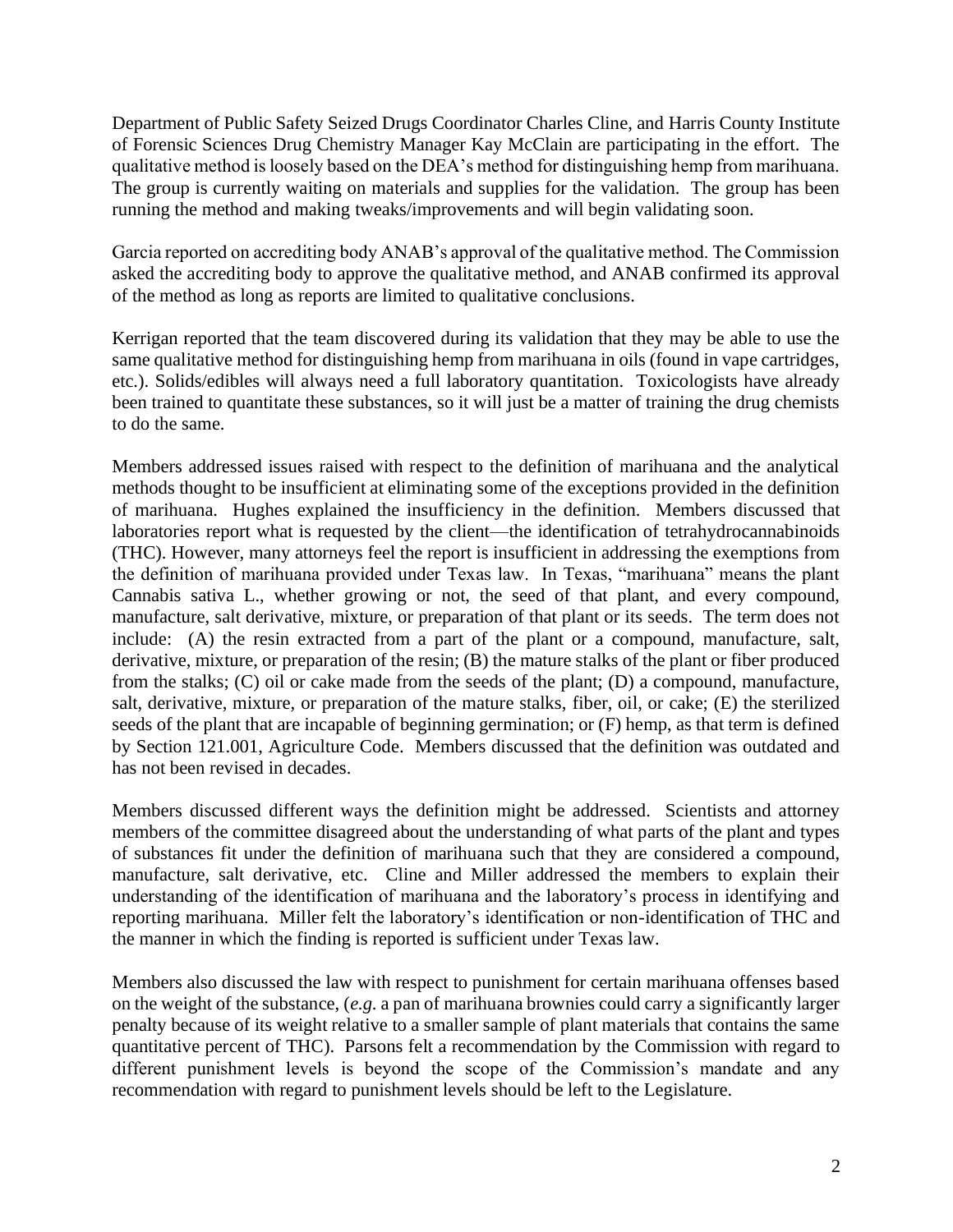Department of Public Safety Seized Drugs Coordinator Charles Cline, and Harris County Institute of Forensic Sciences Drug Chemistry Manager Kay McClain are participating in the effort. The qualitative method is loosely based on the DEA's method for distinguishing hemp from marihuana. The group is currently waiting on materials and supplies for the validation. The group has been running the method and making tweaks/improvements and will begin validating soon.

Garcia reported on accrediting body ANAB's approval of the qualitative method. The Commission asked the accrediting body to approve the qualitative method, and ANAB confirmed its approval of the method as long as reports are limited to qualitative conclusions.

Kerrigan reported that the team discovered during its validation that they may be able to use the same qualitative method for distinguishing hemp from marihuana in oils (found in vape cartridges, etc.). Solids/edibles will always need a full laboratory quantitation. Toxicologists have already been trained to quantitate these substances, so it will just be a matter of training the drug chemists to do the same.

Members addressed issues raised with respect to the definition of marihuana and the analytical methods thought to be insufficient at eliminating some of the exceptions provided in the definition of marihuana. Hughes explained the insufficiency in the definition. Members discussed that laboratories report what is requested by the client—the identification of tetrahydrocannabinoids (THC). However, many attorneys feel the report is insufficient in addressing the exemptions from the definition of marihuana provided under Texas law. In Texas, "marihuana" means the plant Cannabis sativa L., whether growing or not, the seed of that plant, and every compound, manufacture, salt derivative, mixture, or preparation of that plant or its seeds. The term does not include: (A) the resin extracted from a part of the plant or a compound, manufacture, salt, derivative, mixture, or preparation of the resin; (B) the mature stalks of the plant or fiber produced from the stalks; (C) oil or cake made from the seeds of the plant; (D) a compound, manufacture, salt, derivative, mixture, or preparation of the mature stalks, fiber, oil, or cake; (E) the sterilized seeds of the plant that are incapable of beginning germination; or (F) hemp, as that term is defined by Section 121.001, Agriculture Code. Members discussed that the definition was outdated and has not been revised in decades.

Members discussed different ways the definition might be addressed. Scientists and attorney members of the committee disagreed about the understanding of what parts of the plant and types of substances fit under the definition of marihuana such that they are considered a compound, manufacture, salt derivative, etc. Cline and Miller addressed the members to explain their understanding of the identification of marihuana and the laboratory's process in identifying and reporting marihuana. Miller felt the laboratory's identification or non-identification of THC and the manner in which the finding is reported is sufficient under Texas law.

Members also discussed the law with respect to punishment for certain marihuana offenses based on the weight of the substance, (*e.g.* a pan of marihuana brownies could carry a significantly larger penalty because of its weight relative to a smaller sample of plant materials that contains the same quantitative percent of THC). Parsons felt a recommendation by the Commission with regard to different punishment levels is beyond the scope of the Commission's mandate and any recommendation with regard to punishment levels should be left to the Legislature.